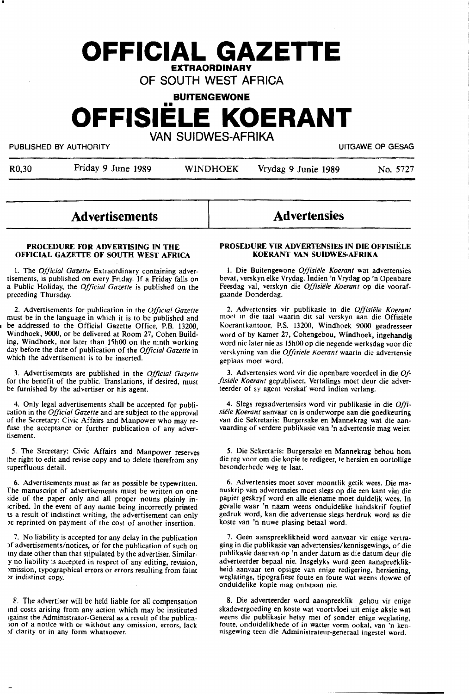# **OFFICIAL GAZETTE EXTRAORDINARY**

OF SOUTH WEST AFRICA

**BUITENGEWONE** 

**OFFISIELE KOERANT** 

VAN SUIDWES-AFRIKA

PUBLISHED BY AUTHORITY **EXECUTE A SECURE 2018 THE SECURE 2019 THE SECURE 2019** 

| Friday 9 June 1989<br>R <sub>0</sub> ,30 | <b>WINDHOEK</b> | Vrydag 9 Junie 1989 | No. 5727 |
|------------------------------------------|-----------------|---------------------|----------|
|------------------------------------------|-----------------|---------------------|----------|

## **Advertisements**

## **Advertensies**

#### **PROCEDURE FOR ADVERTISING IN THE OFFICIAL GAZETTE OF SOUTH WEST AFRICA**

1. The *Official Gazette* Extraordinary containing advertisements, is published on every Friday. If a Friday falls on a Public Holiday, the *Official Gazette* is published on the preceding Thursday.

2. Advertisements for publication in the *Official Gazette* must be in the language in which it is to be published and be addressed to the Official Gazette Office, P.B. 13200, Windhoek, 9000, or be delivered at Room 27, Cohen Build**ing,** Windhoek, not later than 15h00 on the ninth working day before the date of publication of **the** *Official Gazette* in which the advertisement is to be inserted.

3. Advertisements are published in the *Official Gazette*  for the benefit of the public. Translations, if desired, must be furnished by the advertiser or his agent.

4. Only legal advertisements shall be accepted for publication in the *Official Gazette* and are subject to the approval of the Secretary: Civic Affairs and Manpower who may refuse the acceptance or further publication of any advertisement.

*5.* The Secretary: Civic Affairs and Manpower reserves the right to edit and revise copy and to delete therefrom any iuperfluous detail.

6. Advertisements must as far as possible be typewritten. side of the paper only and all proper nouns plainly in-1cribed. In the event of any name being incorrectly printed as a result of indistinct writing, the advertisement can only Je reprinted on payment of the cost of another insertion.

7. No liability is accepted for any delay in the publication Jf advertisements/notices, or for the publication of such on my date other than that stipulated by the advertiser. Similar-Y no liability is accepted in respect of any editing, revision, >mission, typographical errors or errors resulting from faint >r indistinct copy.

8. The advertiser will be held liable for all compensation md costs arising from any action which may be instituted 1gainst the Administrator-General as a result of the publicaion of a notice with or without any omission, errors, lack >f clarity or in any form whatsoever.

#### **PROSEDURE VIR ADVERTENSIES IN DIE OFFISIELE KOERANT VAN SUIDWES-AFRIKA** .

I. Die Buitengewone *Offisiiile Koerant* wat advertensies bevat, verskyn elke Vrydag. Indien 'n Vrydag op 'n Openbare Feesdag val, verskyn die Offisiële Koerant op die voorafgaande Donderdag.

2. Advertensies vir publikasie in die *Offisiiile Koerant*  moet in die taal waarin dit sal verskyn aan die Offisiele Koerantkantoor, P.S. 13200, Windhoek 9000 geadresseer word of by Kamer 27, Cohengebou, Windhoek, **ingehandig**  word nie later nie as 15h00 op die negende werksdag voor die verskyning van die *Offisiele Koerant* waarin die advertensie geplaas moet word.

3. Advertensies word vir die openbare voordeel in die. *Offisiele Koerant* gepubliseer. Vertalings moet deur die adverteerder of sy agent verskaf word indien verlang.

4. Slegs regsadvertensies word vir publikasie in die *Offi*van die Sekretaris: Burgersake en Mannekrag wat die aanvaarding of verdere publikasie van 'n advertensie mag weier.

5. Die Sekretaris: Burgersake en Mannekrag behou horn die reg voor om die kopie te redigeer, te hersien en oortollige besonderhede weg te laat.

6. Advertensies moet sover moontlik getik wees. Die ma- nuskrip van advertensies moet slegs op die een kant van die papier geskryf word en alle eiename moet duidelik **wees.** In gevalle waar 'n naam weens onduidelike handskrif foutief gedruk word, kan die advertensie slegs herdruk word as die koste van 'n nuwe plasing betaal word.

7. Geen aanspreeklikheid word aanvaar vir enige vertraging in die publikasie van advertensies/kennisgewings. of die publikasie daarvan op 'n ander datum as die datum deur die adverteerder bepaal nie. Insgelyks word geen aanspreeklikheid aanvaar ten opsigte van enige redigering, hersiening, weglatings, tipografiese foute en foute wat weens dowwe of onduidelike kopie mag ontstaan nie.

8. Die adverteerder word aanspreeklik gehou vir enige skadevergoeding en koste wat voonvloei uit **enige** aksie wat weens die publikasie hetsy met of sonder enige weglating, foute, onduidelikhede of in watter vorm ookal, van 'n kennisgewing teen die Administrateur-generaal ingestel word.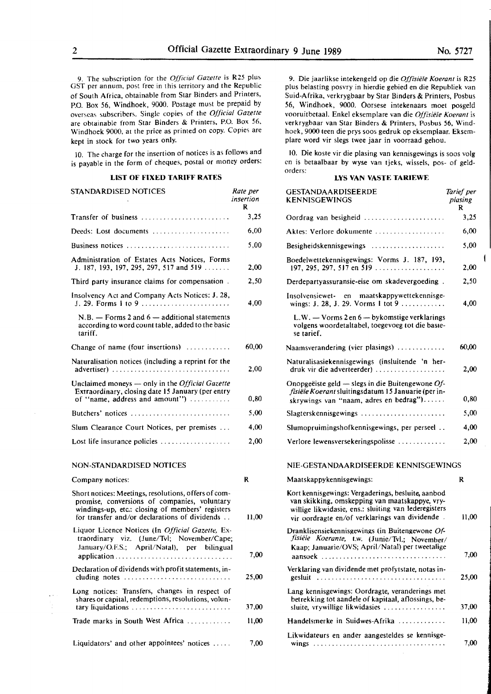9. The subscription for the *Official Gazelfe* is R25 plus OST per annum, post free in this territory and the Republic of South Africa, obtainable From Star Binders and Printers, P.O. Box 56, Windhoek, 9000. Postage must be prepaid by overseas subscribers. Single copies of the *Official Gazette*  are obtainable from Star Binders & Printers, P.O. Box *56,*  Windhoek 9000, at the price as printed on copy. Copies are kept in stock for two years only.

ID. The charge for the insertion of notices is as follows and is payable in the form of cheques, postal or money orders:

## **LIST OF FIXED TARIFF RATES**

| STANDARDISED NOTICES                                                                                                                                                                                      | Rate per<br>insertion<br>R |
|-----------------------------------------------------------------------------------------------------------------------------------------------------------------------------------------------------------|----------------------------|
| Transfer of business                                                                                                                                                                                      | 3,25                       |
| Deeds: Lost documents                                                                                                                                                                                     | 6,00                       |
| Business notices                                                                                                                                                                                          | 5,00                       |
| Administration of Estates Acts Notices, Forms<br>J. 187, 193, 197, 295, 297, 517 and 519                                                                                                                  | 2.00                       |
| Third party insurance claims for compensation.                                                                                                                                                            | 2,50                       |
| Insolvency Act and Company Acts Notices: J. 28,<br>J. 29. Forms 1 to 9                                                                                                                                    | 4.00                       |
| $N.B.$ - Forms 2 and $6$ - additional statements<br>according to word count table, added to the basic<br>tariff.                                                                                          |                            |
| Change of name (four insertions)                                                                                                                                                                          | 60.00                      |
| Naturalisation notices (including a reprint for the                                                                                                                                                       | 2,00                       |
| Unclaimed moneys - only in the Official Gazette<br>Extraordinary, closing date 15 January (per entry<br>of "name, address and amount")                                                                    | 0.80                       |
| Butchers' notices $\ldots, \ldots, \ldots, \ldots, \ldots, \ldots, \ldots$                                                                                                                                | 5,00                       |
| Slum Clearance Court Notices, per premises                                                                                                                                                                | 4,00                       |
| Lost life insurance policies $\dots \dots \dots \dots \dots$                                                                                                                                              | 2,00                       |
| NON-STANDARDISED NOTICES                                                                                                                                                                                  |                            |
| Company notices:                                                                                                                                                                                          | R                          |
| Short notices: Meetings, resolutions, offers of com-<br>promise, conversions of companies, voluntary<br>windings-up, etc.: closing of members' registers<br>for transfer and/or declarations of dividends | 11,00                      |
| Liquor Licence Notices (In Official Gazette, Ex-<br>traordinary viz. (June/Tvl; November/Cape;<br>January/O.F.S.; April/Natal), per bilingual                                                             | 7,00                       |
| Declaration of dividends with profit statements, in-<br>cluding notes $\ldots \ldots \ldots \ldots \ldots \ldots \ldots$                                                                                  | 25.00                      |
| Long notices: Transfers, changes in respect of                                                                                                                                                            |                            |

shares or capital, redemptions, resolutions, voluntary Ii 4uidations . . . . . . . . . . . . . . . . . . . . . . 37,00 Trade marks in South West Africa . . . . . . . **11,00** 

Liquidators' and other appointees' notices  $\dots$  7,000

9. Die jaarlikse intekengeld op die *Offisiele Koeranr* is R25 plus belasting posvry in hierdie gebied en die Republiek van Suid-AFrika, verkrygbaar by Star Binders & Printers, Posbus 56, Windhoek, 9000. Oorsese intekenaars moet posgeld vooruitbetaal. Enke! eksemplare van die *Offisiele Koerant* is verkrygbaar van Star Binders & Printers, Posbus **56,** Windhoek, 9000 teen die prys soos gedruk op eksemplaar. Eksemplare word vir slegs twee jaar in voorraad gehou.

10. Die koste vir die plasing van kennisgewings is soos volg en is betaalbaar by wyse van tjeks, wissels, pos- of geldorders:

#### **LYS VAN VASTE TARIEWE**

| per<br>'ion | <b>GESTANDAARDISEERDE</b><br>KENNISGEWINGS                                                                                                                                                                     | Tarief per<br>plasing<br>R |
|-------------|----------------------------------------------------------------------------------------------------------------------------------------------------------------------------------------------------------------|----------------------------|
| 3,25        | Oordrag van besigheid                                                                                                                                                                                          | 3,25                       |
| 6,00        | Aktes: Verlore dokumente                                                                                                                                                                                       | 6,00                       |
| 5,00        | Besigheidskennisgewings                                                                                                                                                                                        | 5,00                       |
| 2,00        | Boedelwettekennisgewings: Vorms J. 187, 193,                                                                                                                                                                   | 2,00                       |
| 2,50        | Derdepartyassuransie-eise om skadevergoeding.                                                                                                                                                                  | 2,50                       |
| 4,00        | Insolvensiewet- en<br>maatskappywettekennisge-<br>wings: J. 28, J. 29. Vorms 1 tot 9                                                                                                                           | 4,00                       |
|             | $L.W. - V \text{orms } 2 \text{ en } 6 - \text{bykomstige verklarings}$<br>volgens woordetaltabel, toegevoeg tot die basie-<br>se tarief.                                                                      |                            |
| 0.00        | Naamsverandering (vier plasings)                                                                                                                                                                               | 60,00                      |
| 2,00        | Naturalisasiekennisgewings (insluitende 'n her-<br>druk vir die adverteerder)                                                                                                                                  | 2,00                       |
| 0,80        | Onopgeëiste geld — slegs in die Buitengewone $Of$ -<br>fisiële Koerant sluitingsdatum 15 Januarie (per in-<br>skrywings van "naam, adres en bedrag")                                                           | 0,80                       |
| 5,00        | Slagterskennisgewings                                                                                                                                                                                          | 5,00                       |
| 4,00        | Slumopruimingshofkennisgewings, per perseel                                                                                                                                                                    | 4,00                       |
| 2,00        | Verlore lewensversekeringspolisse                                                                                                                                                                              | 2,00                       |
|             | NIE-GESTANDAARDISEERDE KENNISGEWINGS                                                                                                                                                                           |                            |
|             | Maatskappykennisgewings:                                                                                                                                                                                       | R                          |
| 11,00       | Kort kennisgewings: Vergaderings, besluite, aanbod<br>van skikking, omskepping van maatskappye, vry-<br>willige likwidasie, ens.: sluiting van lederegisters<br>vir oordragte en/of verklarings van dividende. | 11,00                      |
| 7,00        | Dranklisensiekennisgewings (in Buitengewone Of-<br>fisiële Koerante,<br>t.w. (Junie/Tvl.; November/<br>Kaap; Januarie/OVS; April/Natal) per tweetalige<br>aansoek                                              | 7,00                       |
| !5.00       | Verklaring van dividende met profytstate, notas in-<br>gesluit                                                                                                                                                 | 25,00                      |
| 17,00       | Lang kennisgewings: Oordragte, veranderings met<br>betrekking tot aandele of kapitaal, aflossings, be-<br>sluite, vrywillige likwidasies                                                                       | 37,00                      |
| 11,00       | Handelsmerke in Suidwes-Afrika                                                                                                                                                                                 | 11,00                      |
|             | Likwidateurs en ander aangesteldes se kennisge-                                                                                                                                                                |                            |
| 7,00        |                                                                                                                                                                                                                | 7,00                       |

 $\overline{1}$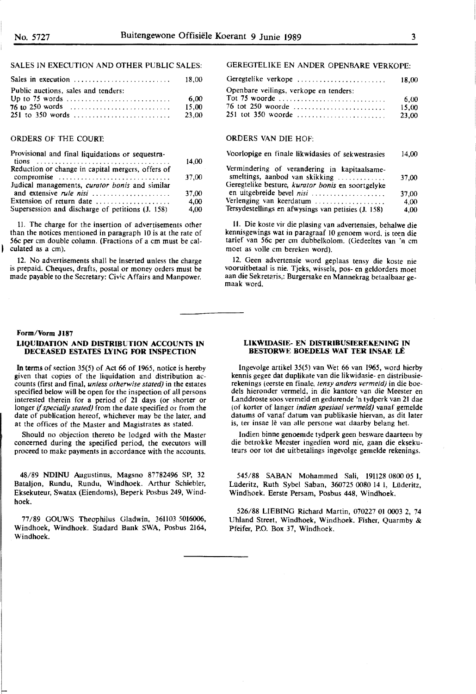## SALES IN EXECUTION AND OTHER PUBLIC SALES:

| Sales in execution $\ldots \ldots \ldots \ldots \ldots \ldots \ldots \ldots$ 18,00 |       |
|------------------------------------------------------------------------------------|-------|
| Public auctions, sales and tenders:                                                |       |
| Up to 75 words $\dots \dots \dots \dots \dots \dots \dots \dots \dots \dots$       | 6.00  |
|                                                                                    | 15.00 |
|                                                                                    | 23.00 |

#### ORDERS OF THE COURT:

| Provisional and final liquidations or sequestra-  |       |
|---------------------------------------------------|-------|
|                                                   | 14.00 |
| Reduction or change in capital mergers, offers of |       |
| compromise                                        | 37,00 |
| Judical managements, curator bonis and similar    |       |
| and extensive <i>rule nisi</i>                    | 37.00 |
| Extension of return date                          | 4,00  |
| Supersession and discharge of petitions (J. 158)  | 4,00  |
|                                                   |       |

II. The charge for the insertion of advertisements other than the notices mentioned in paragraph IO is at the rate of 56c per cm double column. (Fractions of a cm must be calculated as a cm).

12. No advertisements shall be inserted unless the charge is prepaid. Cheques, drafts, postal or money orders must be made payable to the Secretary: Civic Affairs and Manpower.

#### **Form/Vorm Jl87**

#### **LIQUIDATION AND DISTRIBUTION ACCOUNTS IN DECEASED ESTATES LYING FOR INSPECTION**

In terms of section 35(5) of Act 66 of 1965, notice is hereby given that copies of the liquidation and distribution accounts (first and final, *unless otherwise stated)* in the estates specified below will be open for the inspection of all persons interested therein for a period of 21 days (or shorter or longer *if specially stated)* from the date specified or from the date of publication hereof, whichever may be the later, and· at the offices of the Master and Magistrates as stated.

Should no objection thereto be lodged with the Master concerned during the specified period, the executors will proceed to make payments in accordance with the accounts.

48/89 NDINU Augustinus, Magsno 87782496 SP, 32 Bataljon, Rundu, Rundu, Windhoek. Arthur Schiebler, Eksekuteur, Swatax (Eiendoms), Beperk Posbus 249, Windhoek.

77/89 GOUWS Theophilus Gladwin, 361103 5016006, Windhoek, Windhoek. Stadard Bank SWA, Posbus 2164, . Windhoek.

#### GEREGTELIKE EN ANDER OPENBARE VERKOPE:

| Geregtelike verkope                     | 18.00                  |
|-----------------------------------------|------------------------|
| Openbare veilings, verkope en tenders:  |                        |
| 76 tot 250 woorde<br>251 tot 350 woorde | 6.00<br>15.00<br>23.00 |

#### ORDERS VAN DIE HOF:

| Voorlopige en finale likwidasies of sekwestrasies                              |       |
|--------------------------------------------------------------------------------|-------|
| Vermindering of verandering in kapitaalsame-<br>smeltings, aanbod van skikking | 37,00 |
| Geregtelike besture, kurator bonis en soortgelyke<br>en uitgebreide bevel nisi | 37.00 |
| Verlenging van keerdatum                                                       | 4,00  |
| Tersydestellings en afwysings van petisies (J. 158)                            | 4,00  |

11. Die koste vir die plasing van advertensies, behalwe die kennisgewings wat in paragraaf IO genoem word. is teen die tarief van 56c per cm dubbelkolom. (Gedeeltes van 'n cm moet as voile cm bereken word).

12. Geen advertensie word geplaas tensy die koste nie vooruitbetaal is nie. Tjeks, wissels, pos- en geldorders moet aan die Sekretaris,: Burgersake en Mannekrag betaalbaar ge-maak word.

#### **LIKWIDASIE- EN DISTRIBUSIEREKENING IN BESTORWE BOEDELS WAT TER INSAE LÊ**

lngevolge artikel 35(5) van Wet 66 van 1965, word hierby kennis gegee dat duplikate van die likwidasie- en distribusierekenings (eerste en finale, *tensy anders vermeld)* in die boedels hieronder vermeld, in die kantore van die Meester en Landdroste soos vermeld en gedurende 'n tydperk van 21 dae (of korter of !anger *indien spesiaa/ vermeld)* vanaf gemelde datums of vanaf datum van publikasie hiervan, as dit later is, ter insae lê van alle persone wat daarby belang het.

lndien binne genoemde tydperk geen besware daarteen by die betrokke Meester ingedien word nie, gaan die eksekuteurs oor tot die uitbetalings ingevolge gemelde rekenings.

545/88 SABAN Mohammed Sali, 191128 0800 05 l, Lüderitz, Ruth Sybel Saban, 360725 0080 14 I, Lüderitz, Windhoek. Eerste Persam, Posbus 448, Windhoek.

526/88 LIEBING Richard Martin, 070227 01 0003 2, 74 Uhland Street, Windhoek, Windhoek. Fisher, Quarmby & Pfeifer, P.O. Box 37, Windhoek.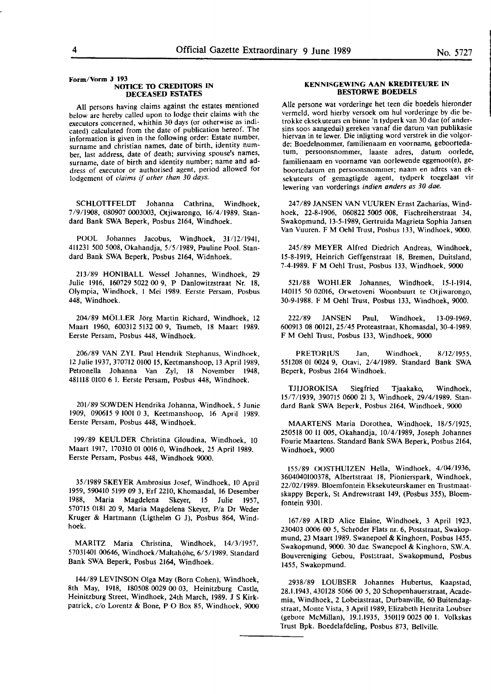#### **Form/Vorm J 193 NOTICE TO CREDITORS IN DECEASED ESTATES**

All persons having claims against the estates mentioned below are hereby called upon to lodge their claims with the executors concerned, whithin 30 days (or otherwise as indicated) calculated from the date of publication hereof. The information is given in the following order: Estate number, surname and christian names, date of birth, identity number, last address, date of death; surviving spouse's names, surname, date of birth and identity number; name and address of executor or authorised agent, period allowed for lodgement of *claims* if *other than 30 days.* 

SCHLOTTFELDr Johanna Cathrina, Windhoek, 7/9/1908, 080907 0003003, Otjiwarongo, 16/4/1989. Standard Bank SWA Beperk, Posbus 2164, Windhoek.

POOL Johannes Jacobus, Windhoek, 31/12/1941, 411231 *500* 5008, Okahandja, 5/5/1989, Pauline Pool. Standard Bank SWA Beperk, Posbus 2164, Widnhoek.

213/89 HONIBALL Wessel Johannes, Windhoek, 29 Julie 1916, 160729 5022 00 9, P Danlowitzstraat Nr. 18, Olympia, Windhoek, I Mei 1989. Eerste Persam, Posbus 448, Windhoek.

204/89 MOLLER JOrg Martin Richard, Windhoek, 12 Maart 1960, 600312 5132 00 9, Tsumeb, 18 Maart 1989. Eerste Persam, Posbus 448, Windhoek.

206/89 VAN ZYL Paul Hendrik Stephanus, Windhoek, 12 Julie 1937, 370712 0100 15, Keetmanshoop, 13 April 1989, Petronella Johanna Van Zyl, 18 November 1948, 48ll18 0100 6 I. Eerste Persam, Posbus 448, Windhoek.

201/89 SOWDEN Hendrika Johanna, Windhoek, *5* Junie 1909, 090615 9 1001 0 3, Keetmanshoop, 16 April 1989. Eerste Persam, Posbus 448, Windhoek.

199/89 KEULDER Christina Gloudina, Windhoek, 10 Maart 1917, 170310 01 0016 0, Windhoek, 25 April 1989. Eerste Persam, Posbus 448, Windhoek 9000.

35/1989 SKEYER Ambrosius Josef, Windhoek, JO April 1959, 590410 5199 09 3, Erf 2210, Khomasdal, 16 Desember 1988, **Maria** Magdelena Skeyer, 15 Julie 1957, 570715 0181 20 9, Maria Magdelena Skeyer, P/a Dr Weder Kruger & Hartmann (Ligthelm G J), Posbus 864, Windhoek.

MARITZ Maria Christina, Windhoek, 14/3/1957, 57031401 00646, Windhoek/Maltahohe, 6/5/1989. Standard Bank SWA Beperk, Posbus 2164, Windhoek.

144/89 LEVINSON Olga May (Born Cohen), Windhoek, 8th May, 1918, 180508 0029 00 03, Heinitzburg Castle, Heinitzburg Street, Windhoek, 24th March, 1989. JS **Kirk**patrick, *cio* Lorentz & Bone, P O Box 85, Windhoek, 9000

#### **KENNISGEWING AAN KREDITEURE IN BESIDRWE BOEDELS**

Alie persone wat vorderinge het teen die boedels hieronder vermeld, word hierby versoek om hul vorderinge by die betrokke eksekuteurs en binne 'n tydperk van 30 dae (of andersins soos aangedui) gereken vanaf die datum van publikasie hiervan in te lewer. Die inligting word verstrek in die volgorde: Boedelnommer, familienaam en voorname, geboortedatum, persoonsnommer, laaste adres, datum oorlede, familienaam en voorname van oorlewende eggenoot(e), geboortedatum en persoonsnommer; naam en adres van eksekuteurs of gemagtigde agent, tydperk toegelaat vir lewering van vorderings *indien anders as 30 dae.* 

247/89 JANSEN VAN VUUREN Ernst Zacharias, Windhoek, 22-8-1906, 060822 **5005 008,** Fischreiherstraat 34, Swakopmund, 13-5-1989, Gertruida Magrieta Sophia Jansen Van Vuuren. FM Oehl Trust, Posbus 133, Windhoek, 9000.

245/89 **MEYER** Alfred Diedrich Andreas, Windhoek, 15-8-1919, Heinrich Geffgenstraat 18, Bremen, Duitsland, 7-4-1989. F M Oehl Trust, Posbus 133, Windhoek, 9000

521/88 **WOHLER** Johannes, Windhoek, 15-1-1914, 140115 *50* 02016, Orwetoveni Woonbuurt te Otjiwarongo, 30-9-1988. F M Oehl Trust, Posbus 133, Windhoek, 9000.

222/89 JANSEN Paul, Windhoek, 13-09-1969, 600913 08 **00121,** 25/45 Proteastraat, Khomasdal, 30-4-1989. F M Oehl Trust, Posbus 133, Windhoek, 9000

PRETORIUS Jan, Windhoek, 8/12/1955, 551208 OJ 0024 9, Otavi, 2/4/1989. Standard Bank SWA Beperk, Posbus 2164 Windhoek.

TJJJOROKISA Siegfried Tjaakako, Windhoek, 15/7/1939, 390715 0600 21 3, Windhoek, 29/4/1989. Standard Bank SWA Beperk, Posbus 2164, Windhoek, 9000

MAARTENS Maria Dorothea, Windhoek, 18/5/1925, 250518 00 11 005, Okahandja, J0/4/1989, Joseph Johannes Fourie Maartens. Standard Bank SWA Beperk, Posbus 2164, Windhoek, 9000

155/89 OOSTHUIZEN Hella, Windhoek, 4/04/1936, 3604040100378, Albertstraat 18, Pionierspark, Windhoek, 22/02/1989. Bloemfontein Eksekuteurskamer en Trustmaatskappy Beperk, St Andrewstraat **149,** (Posbus 355), Bloemfontein 9301.

167 /89 AIRD Alice Elaine, Windhoek, 3 April 1923, 230403 0006 00 5, Schröder Flats nr. 6, Poststraat, Swakopmund, 23 Maart 1989. Swanepoel & Kinghorn, Posbus 1455, Swakopmund, 9000. 30 dae. Swanepoel & Kinghorn, S.W.A. Bouvereniging Gebou, Poststraat, Swakopmund, Posbus 1455, Swakopmund.

2938/89 LOUBSER Johannes Hubertus, Kaapstad, 28.1.1943, 430128 5066 00 5, 20 Schopenhauerstraat, Academia, Windhoek, 2 Lobeiastraat, Durbanville, 60 Buitendag• straat, Monte Vista, 3 April 1989, Elizabeth Henrita Loubser (gebore McMillan), 19.1.1935, 350119 0025 00 1. Volkskas 1rust **Bpk.** Boedelafdeling, Posbus 873, Bellville.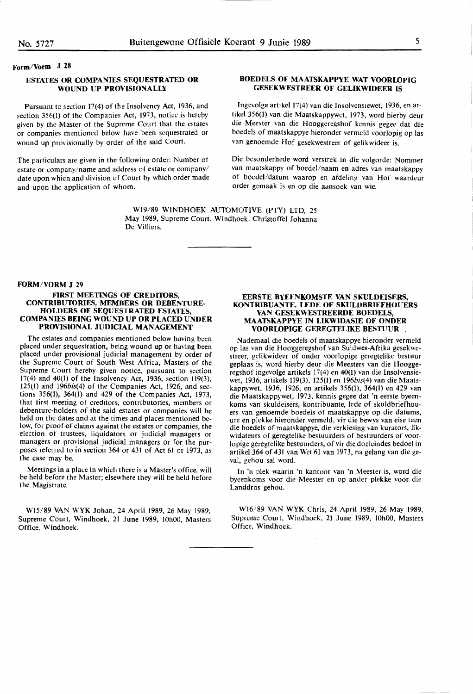### **Form/Vorm J 28**

## **ESTATES OR COMPANIES SEQUESTRATED OR WOUND UP PROVISIONALLY**

Pursuant to section 17(4) of the Insolvency Act, 1936, and section 356(1) of the Companies Act, 1973, notice is hereby given by the Master of the Supreme Court that the estates or companies mentioned below have been sequestrated or wound up provisionally by order of the said Court.

The particulars are given in the following order: Number of estate or company/name and address of estate or company/ date upon which and division of Court by which order made and upon the application of whom.

### **BOEDELS OF MAATSKAPPYE WAT VOORLOPIG GESEKWESTREER OF GELIKWIDEER** IS

Ingevolge artikel 17(4) van die Insolvensiewet, 1936, en artikel 356(1) van die Maatskappywet, 1973, word hierby deur die Meester van die Hooggeregshof kennis gegee dat die boedels of maatskappye hieronder vermeld voorlopig op las van genoemde Hof gesekwestreer of gelikwideer is.

Die besonderhede word verstrek in die volgorde: Nommer van maatskappy of boedel/naam en adres van maatskappy of boedel/datum waarop en afdeling van Hof waardeur order gemaak is en op die aansoek van wie.

W19/89 WINDHOEK AUTOMOTIVE (PTY) LTD, 25 May 1989, Supreme Court, Windhoek. Christoffel Johanna De Villiers.

#### **FORM/VORM J 29**

#### **FIRST MEETINGS OF CREDl'IORS, CONTRIBUTORIES, MEMBERS OR DEBENTURE-HOLDERS OF SEQUESTRATED ESTATES, COMPANIES BEING WOUND UP OR PLACED UNDER PROVISIONAL JUDICIAL MANAGEMENT**

The estates and companies mentioned below having been placed under sequestration, being wound up or having been placed under provisional judicial management by order of the Supreme Court of South West Africa, Masters of the Supreme Court hereby given notice, pursuant to section 17(4) and 40(1) of the Insolvency Act, 1936, section 119(3), 125(1) and 196bis(4) of the Companies Act, 1926, and sections 356(1), 364(1) and 429 of the Companies Act, 1973, that first meeting of creditors, contributories, members or debenture-holders of the said estates or companies will be held on the dates and at the times and places mentioned below, for proof of claims against the estates or companies, the election of trustees, liquidators or judicial managers or managers or provisional judicial managers or for the purposes referred to in section 364 or 431 of Act 61 or 1973, as the case may be.

Meetings in a place in which there is a Master's office. will be held before the Master; elsewhere they will be held before the Magistrate.

WI5/89 VANWYK Johan, 24 April 1989, 26 May 1989, Supreme Court, Windhoek, 21 June 1989, 10h00, Masters Office. Windhoek.

#### **EERSTE BYEENKOMSTE VAN SKULDEISERS, KONTRIBUANTE, LEDE OF SKULDBRIEFHOUERS VAN GESEKWESTREERDE BOEDELS, MAATSKAPPYE IN LIKWIDASIE OF ONDER VOORLOPIGE GEREGTELIKE BESTUUR** .

Nademaal die boedels of maatskappye hieronder vermeld op las van die Hooggeregshof van Suidwes-Afrika gesekwestreer, gelikwideer of onder voorlopige geregtelike bestuur geplaas is, word hierby deur die Meesters van die Hoogge• regshof ingevolge artikels 17(4) en 40(1) van die Insolvensiewet, 1936, artikels 119(3), 125(1) en l96bis(4) van die **Maats**kappywet, 1936, 1926, en artikels 356(1), 364(1) en 429 van die Maatskappywet, 1973, kennis gegee dat **'n** eerste byeenkoms van skuldeisers, kontribuante, lede of skuldbriefhouers van genoemde boedels of maatskappye op die datums, ure en plekke hieronder vermeld, vir die bewys van **eise** teen die boedels of maatskappye, die verkiesing van kurators, likwidateurs of geregtelike bestuurders of bestuurders of voorlopige geregtelike bestuurders, of vir die doeleindes bedoel in artikel 364 of 431 van Wet 61 van 1973, na gelang van die geval, gehou sal word.

In 'n plek waarin 'n kantoor van 'n Meester is, word die byeenkoms voor die Meester en op ander plekke voor die Landdros gehou.

Wl6/89 VAN WYK Chris, 24 April 1989, 26 May **1989,**  Supreme Court, Windhoek, 21 June 1989, 10h00, Masters Office, Windhoek.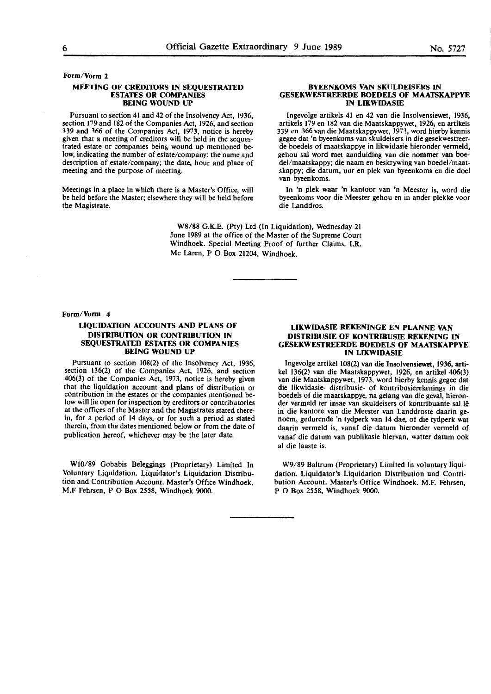## **Form/Vorm 2**

#### **MEETING OF CRffllTORS IN SEQUESTRATED ESTATES OR COMPANIES BEING WOUND UP**

Pursuant to section 41 and 42 of the Insolvency Act, 1936, section 179 and 182 of the Companies Act, 1926, and section 339 and 366 of the Companies Act, 1973, notice is hereby given that a meeting of creditors will be held in the sequestrated estate or companies being wound up mentioned below, indicating the number of estate/company: the name and description of estate/company; the date, hour and place of meeting and the purpose of meeting.

Meetings in a place in which there is a Master's Office, will be held before the Master; elsewhere they will be held before the Magistrate.

#### **BYEENKOMS VAN SKULDEISERS** IN **GESEKWESTREERDE BOEDELS OF MAATSKAPPYE IN LIKWIDASIE**

lngevolge artikels 41 en 42 van die lnsolvensiewet, 1936, artikels 179 en 182 van die Maatskappywet, 1926, en artikels 339 en 366 van die Maatskappywet, 1973, word hierby kennis gegee dat 'n byeenkoms van skuldeisers in die gesekwestreerde boedels of maatskappye in likwidasie hieronder vermeld. gehou sal word met aanduiding van die nommer van boedel/maatskappy; die naam en beskrywing van boedel/maatskappy; die datum, uur **en** plek van byeenkoms en die doel van byeenkoms.

In 'n plek waar 'n kantoor van 'n Meester is, word die byeenkoms voor die Meester gehou en in ander plekke voor die Landdros.

**W8/88** G.K.E. (Pty) Ltd (In Liquidation), Wednesday 21 June 1989 at the office of the Master of the Supreme Court Windhoek. Special Meeting Proof of further Claims. **I.R.**  Mc Laren, P 0 Box 21204, Windhoek.

#### **Form/Vorm 4**

#### **LIQUIDATION ACCOUNTS AND PLANS OF DISTRIBUTION OR CONTRIBUTION IN SEQUESTRATED ESTATES OR COMPANIES BEING WOUND UP**

Pursuant to section l08(2) of the Insolvency Act, 1936, section 136(2) of the Companies Act, 1926, and section 406(3) of the Companies Act, 1973, notice is hereby given contribution in the estates or the companies mentioned below will lie open for inspection by creditors or contributories at the offices of the Master and the Magistrates stated therein, for a period of **14** days, or for such a period as stated therein, from the dates mentioned below or from the date of publication hereof, whichever may **be** the later **date.** 

**WI0/89** Gobabis **Beleggings** (Proprietary) Limited In Voluntary Liquidation. Liquidator's Liquidation Distribution and Contribution Account. Master's Office Windhoek. M.F Fehrsen, P 0 Box *2558,* Windhoek 9000.

#### **LIKWIDASIE REKENINGE EN PLANNE VAN DISTRIBUSIE OF KONTRIBUSIE REKENING** IN **GESEKWESTREERDE BOEDELS OF MAATSKAPPVE IN LIXWIDASIE**

Ingevolge artikel 108(2) van die Insolvensiewet. 1936, artikel 136(2) van die Maatskappywet, 1926, en artikel 406(3) van die Maatskappywet, 1973, word hierby kennis gegee dat die likwidasie- distribusie- of kontribusierekenings in die boedels of die maatskappye, na gelang van die geval, hieronder vermeld ter insae van skuldeisers of kontribuante sal lê in die kantore van die Meester van Landdroste daarin genoem, gedurende 'n tydperk van 14 dae, of die tydperk wat daarin vermeld is, vanaf die datum hieronder vermeld of vanaf die datum van publikasie hiervan, watter datum ook al die laaste is.

W9/89 Baltrum (Proprietary) Limited In voluntary liquidation. Liquidator's Liquidation Distribution und Contribution Account. Master's Office Windhoek. M.F. Fehrsen, P O Box *2558,* Windhoek 9000.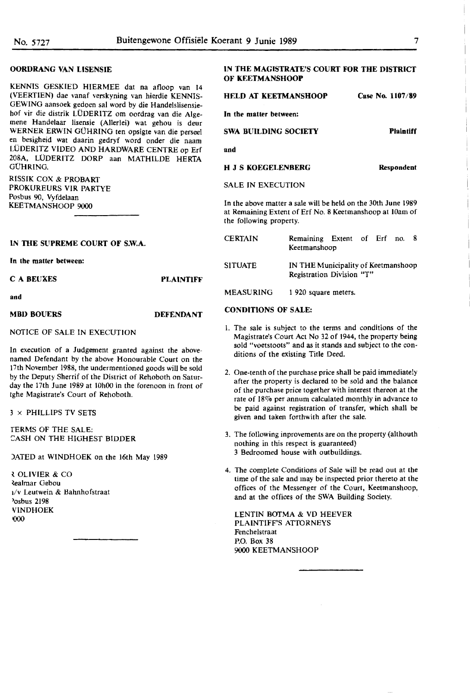I

I

I

I

I

I

I

I

I

**Plaintiff** 

#### **OORDRANG VAN LISENSIE**

KENNIS GESKIED HIERMEE dat na afloop van 14 (VEERTIEN) dae vanaf verskyning van hlerdie KENNIS-GEWING aansoek gedoen sal word by die Handelslisensiehof vir die distrik LODERITZ om oordrag van die Algemene Handelaar lisensie (Allerlei) wat gehou is deur WERNER ERWIN GÜHRING ten opsigte van die perseel en besigheid wat daarin gedryf word onder die naam LUDERITZ VIDEO AND HARDWARE CENTRE op Erf 208A, LÜDERITZ DORP aan MATHILDE HERTA **GÜHRING.** 

RISSIK COX & PROBART PROKUREURS VIR PARTYE Posbus 90, Vyfdelaan KEETMANSHOOP 9000

#### **IN fflE SUPREME COURT OF S.W.A.**

**In the matter between:** 

| C A BEUXES        | <b>PLAINTIFF</b> |
|-------------------|------------------|
| and               |                  |
| <b>MBD BOUERS</b> | <b>DEFENDANT</b> |

NOTICE OF SALE IN EXECUTION

In execution of a Judgement granted against the abovenamed Defendant by the above Honourable Court on the 17th November 1988, the undermentioned goods will be sold by the Deputy Sherrif of the District of Rehoboth on Saturday the 17th June 1989 at 10h00 in the forenoon in front of tghe Magistrate's Court of Rehoboth.

3 x PHILLIPS TV SETS

fERMS OF THE SALE: CASH ON THE HIGHEST BIDDER

JATED at WINDHOEK on the 16th May 1989

l OLIVIER & CO **Realmar Gebou** 1/v Leutwein & Bahnhofstraat >osbus 2198 **VINDHOEK** 000

## **IN THE MAGISTRATE'S COURT FOR THE DISTRICT OF KEETMANSHOOP**

**HELD AT KEETMANSHOOP Case No. 1107/89** 

**In the matter between:** 

**SWA BUILDING SOCIETY** 

#### **and**

**H J S KOEGELENBERG Respondent** 

#### SALE IN EXECUTION

In the above matter a sale will be held on the 30th June 1989 at Remaining Extent of Erf No. 8 Keetmanshoop at 10am of the following property.

| CERTAIN   | Remaining Extent of Erf no.<br>Keetmanshoop                      |  |  |  |
|-----------|------------------------------------------------------------------|--|--|--|
| SITUATE   | IN THE Municipality of Keetmanshoop<br>Registration Division "T" |  |  |  |
| MEASURING | 1 920 square meters.                                             |  |  |  |

#### **CONDITIONS OF SALE:**

- I. The sale is subject to the terms and conditions of the Magistrate's Court Act No 32 of 1944, the property being sold "voetstoots" and as it stands and subject to the conditions of the existing Title Deed.
- 2. One-tenth of the purchase price shall be paid immediately after the property is declared to be sold and the balance of the purchase price together with interest thereon at the rate of 18% per annum calculated monthly in advance to be paid against registration of transfer, which shall be given and taken forthwith after the sale.
- 3. The following inprovements are on the property (althouth nothing in this respect is guaranteed) 3 Bedroomed house with outbuildings.
- 4. The complete Conditions of Sale will be read out at the time of the sale and may be inspected prior thereto at the offices of the Messenger of the Court, Keetmanshoop, and at the offices of the SWA Building Society.

LENTIN BOTMA & VD HEEVER PLAINTIFF'S ATTORNEYS Fenchelstraat P.O. Box 38 9000 KEETMANSHOOP